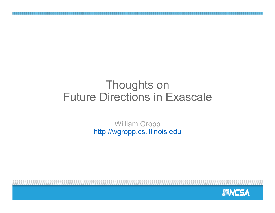### Thoughts on Future Directions in Exascale

William Gropp http://wgropp.cs.illinois.edu

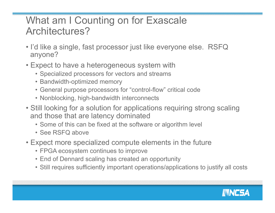#### What am I Counting on for Exascale Architectures?

- I'd like a single, fast processor just like everyone else. RSFQ anyone?
- Expect to have a heterogeneous system with
	- Specialized processors for vectors and streams
	- Bandwidth-optimized memory
	- General purpose processors for "control-flow" critical code
	- Nonblocking, high-bandwidth interconnects
- Still looking for a solution for applications requiring strong scaling and those that are latency dominated
	- Some of this can be fixed at the software or algorithm level
	- See RSFQ above
- Expect more specialized compute elements in the future
	- FPGA ecosystem continues to improve
	- End of Dennard scaling has created an opportunity
	- Still requires sufficiently important operations/applications to justify all costs

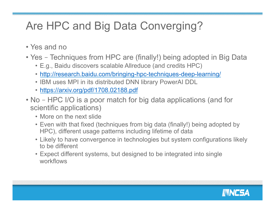# Are HPC and Big Data Converging?

- Yes and no
- Yes Techniques from HPC are (finally!) being adopted in Big Data
	- E.g., Baidu discovers scalable Allreduce (and credits HPC)
	- http://research.baidu.com/bringing-hpc-techniques-deep-learning/
	- IBM uses MPI in its distributed DNN library PowerAI DDL
	- https://arxiv.org/pdf/1708.02188.pdf
- No HPC I/O is a poor match for big data applications (and for scientific applications)
	- More on the next slide
	- Even with that fixed (techniques from big data (finally!) being adopted by HPC), different usage patterns including lifetime of data
	- Likely to have convergence in technologies but system configurations likely to be different
	- Expect different systems, but designed to be integrated into single workflows

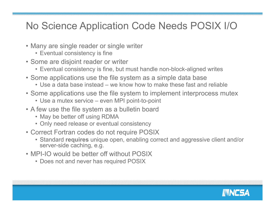#### No Science Application Code Needs POSIX I/O

- Many are single reader or single writer
	- Eventual consistency is fine
- Some are disjoint reader or writer
	- Eventual consistency is fine, but must handle non-block-aligned writes
- Some applications use the file system as a simple data base
	- Use a data base instead we know how to make these fast and reliable
- Some applications use the file system to implement interprocess mutex
	- Use a mutex service even MPI point-to-point
- A few use the file system as a bulletin board
	- May be better off using RDMA
	- Only need release or eventual consistency
- Correct Fortran codes do not require POSIX
	- Standard **requires** unique open, enabling correct and aggressive client and/or server-side caching, e.g.
- MPI-IO would be better off without POSIX
	- Does not and never has required POSIX